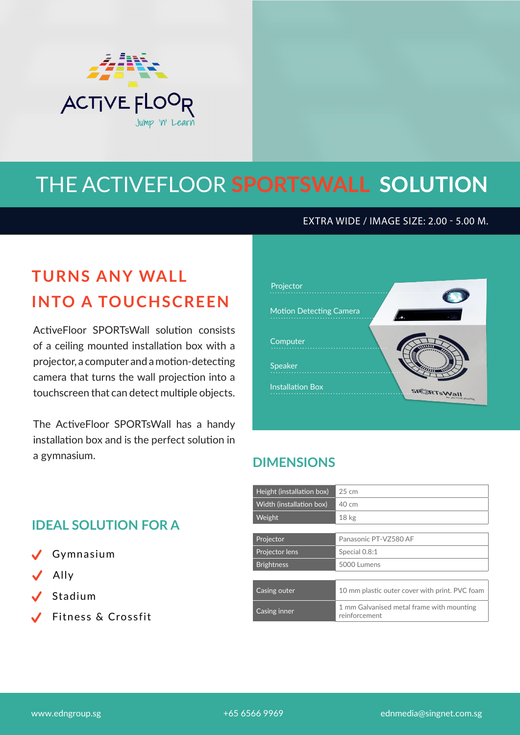

# THE ACTIVEFLOOR **SPORTSWALL SOLUTION**

EXTRA WIDE / IMAGE SIZE: 2.00 - 5.00 M.

## **TURNS ANY WALL INTO A TOUCHSCREEN**

ActiveFloor SPORTsWall solution consists of a ceiling mounted installation box with a projector, a computer and a motion-detecting camera that turns the wall projection into a touchscreen that can detect multiple objects.

The ActiveFloor SPORTsWall has a handy installation box and is the perfect solution in a gymnasium.



#### **DIMENSIONS**

| Height (installation box) | $25 \text{ cm}$                                            |
|---------------------------|------------------------------------------------------------|
| Width (installation box)  | $40 \text{ cm}$                                            |
| Weight                    | 18 <sub>kg</sub>                                           |
|                           |                                                            |
| Projector                 | Panasonic PT-VZ580 AF                                      |
| Projector lens            | Special 0.8:1                                              |
| <b>Brightness</b>         | 5000 Lumens                                                |
|                           |                                                            |
| Casing outer              | 10 mm plastic outer cover with print. PVC foam             |
| Casing inner              | 1 mm Galvanised metal frame with mounting<br>reinforcement |

#### **IDEAL SOLUTION FOR A**

- $\checkmark$ Gymnasium
- $\checkmark$ Ally
- $\checkmark$ Stadium
- Fitness & Crossfit

www.edngroup.sg entitled to the top that the 465 6566 9969 ednmedia@singnet.com.sg